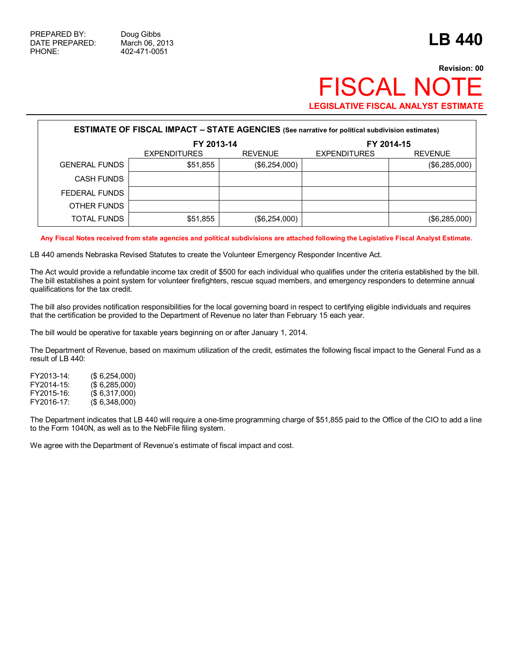## **Revision: 00 FISCAL NO LEGISLATIVE FISCAL ANALYST ESTIMATE**

| <b>ESTIMATE OF FISCAL IMPACT - STATE AGENCIES</b> (See narrative for political subdivision estimates) |                     |                |                     |                |  |  |  |
|-------------------------------------------------------------------------------------------------------|---------------------|----------------|---------------------|----------------|--|--|--|
|                                                                                                       | FY 2013-14          |                |                     | FY 2014-15     |  |  |  |
|                                                                                                       | <b>EXPENDITURES</b> | <b>REVENUE</b> | <b>EXPENDITURES</b> | <b>REVENUE</b> |  |  |  |
| <b>GENERAL FUNDS</b>                                                                                  | \$51,855            | (\$6,254,000)  |                     | (\$6,285,000)  |  |  |  |
| CASH FUNDS                                                                                            |                     |                |                     |                |  |  |  |
| FEDERAL FUNDS                                                                                         |                     |                |                     |                |  |  |  |
| OTHER FUNDS                                                                                           |                     |                |                     |                |  |  |  |
| TOTAL FUNDS                                                                                           | \$51,855            | (\$6,254,000)  |                     | (\$6,285,000)  |  |  |  |

**Any Fiscal Notes received from state agencies and political subdivisions are attached following the Legislative Fiscal Analyst Estimate.** 

LB 440 amends Nebraska Revised Statutes to create the Volunteer Emergency Responder Incentive Act.

The Act would provide a refundable income tax credit of \$500 for each individual who qualifies under the criteria established by the bill. The bill establishes a point system for volunteer firefighters, rescue squad members, and emergency responders to determine annual qualifications for the tax credit.

The bill also provides notification responsibilities for the local governing board in respect to certifying eligible individuals and requires that the certification be provided to the Department of Revenue no later than February 15 each year.

The bill would be operative for taxable years beginning on or after January 1, 2014.

The Department of Revenue, based on maximum utilization of the credit, estimates the following fiscal impact to the General Fund as a result of LB 440:

FY2013-14: (\$ 6,254,000) FY2014-15: (\$ 6,285,000) FY2015-16: (\$ 6,317,000) FY2016-17: (\$ 6,348,000)

The Department indicates that LB 440 will require a one-time programming charge of \$51,855 paid to the Office of the CIO to add a line to the Form 1040N, as well as to the NebFile filing system.

We agree with the Department of Revenue's estimate of fiscal impact and cost.